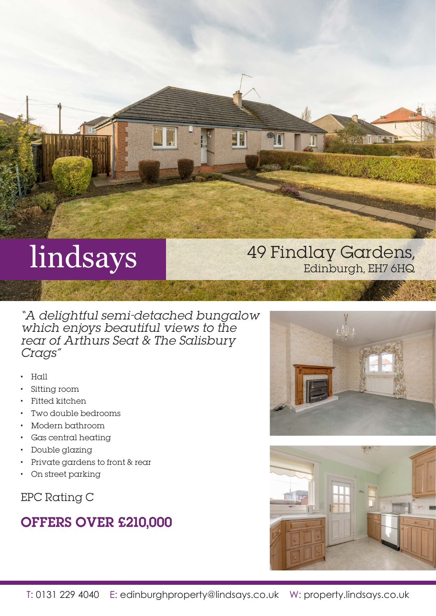

# lindsays

## 49 Findlay Gardens, Edinburgh, EH7 6HQ

"A delightful semi-detached bungalow which enjoys beautiful views to the rear of Arthurs Seat & The Salisbury Crags"

- Hall
- Sitting room
- Fitted kitchen
- Two double bedrooms
- Modern bathroom
- Gas central heating
- Double glazing
- Private gardens to front & rear
- On street parking

EPC Rating C

## OFFERS OVER £210,000